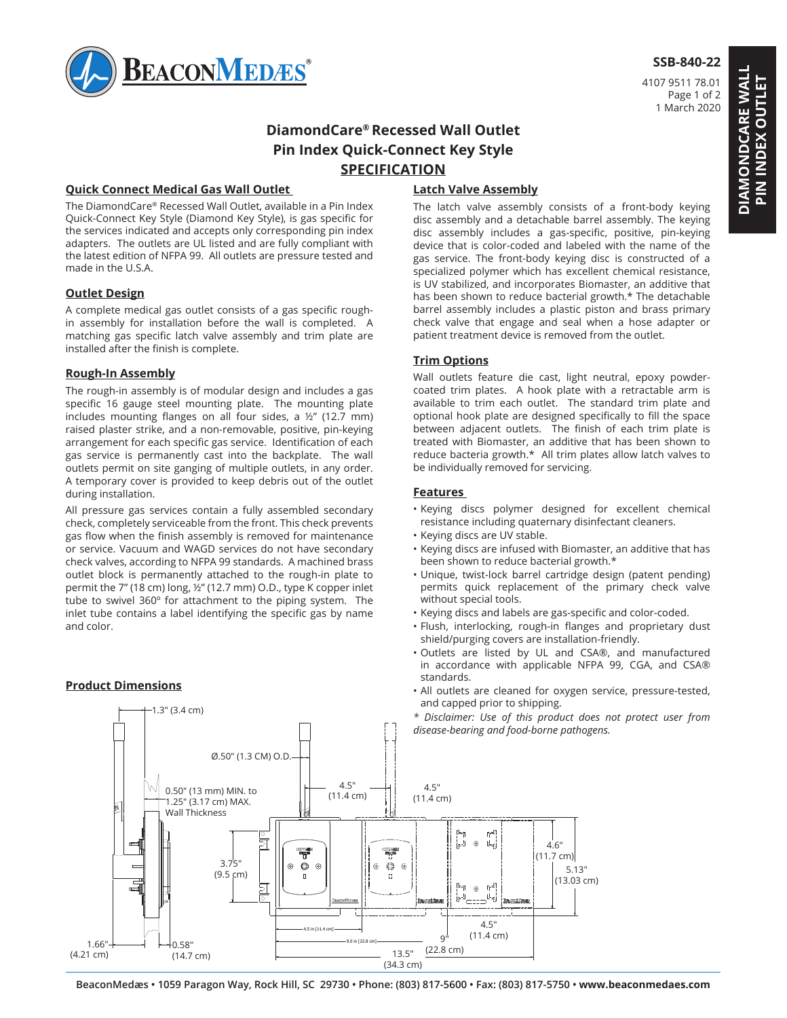

### **SSB-840-22**

4107 9511 78.01 Page 1 of 2 1 March 2020

# **DiamondCare® Recessed Wall Outlet Pin Index Quick-Connect Key Style SPECIFICATION**

### **Quick Connect Medical Gas Wall Outlet**

The DiamondCare® Recessed Wall Outlet, available in a Pin Index Quick-Connect Key Style (Diamond Key Style), is gas specific for the services indicated and accepts only corresponding pin index adapters. The outlets are UL listed and are fully compliant with the latest edition of NFPA 99. All outlets are pressure tested and made in the U.S.A.

#### **Outlet Design**

A complete medical gas outlet consists of a gas specific roughin assembly for installation before the wall is completed. A matching gas specific latch valve assembly and trim plate are installed after the finish is complete.

### **Rough-In Assembly**

The rough-in assembly is of modular design and includes a gas specific 16 gauge steel mounting plate. The mounting plate includes mounting flanges on all four sides, a ½" (12.7 mm) raised plaster strike, and a non-removable, positive, pin-keying arrangement for each specific gas service. Identification of each gas service is permanently cast into the backplate. The wall outlets permit on site ganging of multiple outlets, in any order. A temporary cover is provided to keep debris out of the outlet during installation.

All pressure gas services contain a fully assembled secondary check, completely serviceable from the front. This check prevents gas flow when the finish assembly is removed for maintenance or service. Vacuum and WAGD services do not have secondary check valves, according to NFPA 99 standards. A machined brass outlet block is permanently attached to the rough-in plate to permit the 7" (18 cm) long, ½" (12.7 mm) O.D., type K copper inlet tube to swivel 360º for attachment to the piping system. The inlet tube contains a label identifying the specific gas by name and color.

### **Product Dimensions**

1.3" (3.4 cm)

# **Latch Valve Assembly**

The latch valve assembly consists of a front-body keying disc assembly and a detachable barrel assembly. The keying disc assembly includes a gas-specific, positive, pin-keying device that is color-coded and labeled with the name of the gas service. The front-body keying disc is constructed of a specialized polymer which has excellent chemical resistance, is UV stabilized, and incorporates Biomaster, an additive that has been shown to reduce bacterial growth.\* The detachable barrel assembly includes a plastic piston and brass primary check valve that engage and seal when a hose adapter or patient treatment device is removed from the outlet.

### **Trim Options**

Wall outlets feature die cast, light neutral, epoxy powdercoated trim plates. A hook plate with a retractable arm is available to trim each outlet. The standard trim plate and optional hook plate are designed specifically to fill the space between adjacent outlets. The finish of each trim plate is treated with Biomaster, an additive that has been shown to reduce bacteria growth.\* All trim plates allow latch valves to be individually removed for servicing.

#### **Features**

- Keying discs polymer designed for excellent chemical resistance including quaternary disinfectant cleaners.
- Keying discs are UV stable.
- Keying discs are infused with Biomaster, an additive that has been shown to reduce bacterial growth.\*
- Unique, twist-lock barrel cartridge design (patent pending) permits quick replacement of the primary check valve without special tools.
- Keying discs and labels are gas-specific and color-coded.
- Flush, interlocking, rough-in flanges and proprietary dust shield/purging covers are installation-friendly.
- 1 2 Outlets are listed by UL and CSA®, and manufactured in accordance with applicable NFPA 99, CGA, and CSA® standards.
- **Frouder Differential Contract and Service** All outlets are cleaned for oxygen service, pressure-tested, and capped prior to shipping.
	- *\* Disclaimer: Use of this product does not protect user from disease-bearing and food-borne pathogens.*



**DIAMONDCARE WALL PIN INDEX OUTLET**

**DIAMONDCARE WALL PIN INDEX OUTLET**